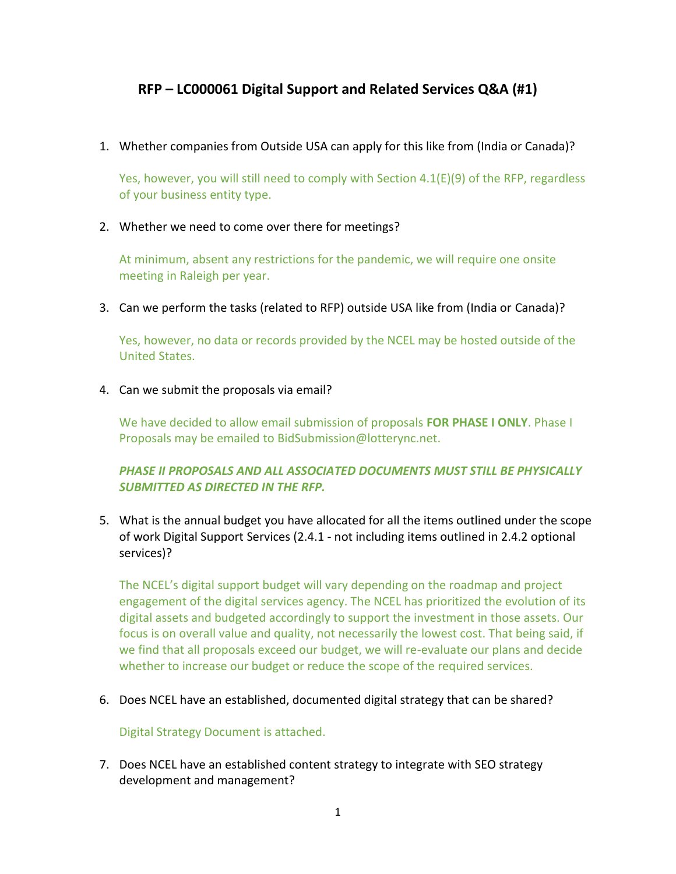# **RFP – LC000061 Digital Support and Related Services Q&A (#1)**

1. Whether companies from Outside USA can apply for this like from (India or Canada)?

Yes, however, you will still need to comply with Section 4.1(E)(9) of the RFP, regardless of your business entity type.

2. Whether we need to come over there for meetings?

At minimum, absent any restrictions for the pandemic, we will require one onsite meeting in Raleigh per year.

3. Can we perform the tasks (related to RFP) outside USA like from (India or Canada)?

Yes, however, no data or records provided by the NCEL may be hosted outside of the United States.

4. Can we submit the proposals via email?

We have decided to allow email submission of proposals **FOR PHASE I ONLY**. Phase I Proposals may be emailed to BidSubmission@lotterync.net.

## *PHASE II PROPOSALS AND ALL ASSOCIATED DOCUMENTS MUST STILL BE PHYSICALLY SUBMITTED AS DIRECTED IN THE RFP.*

5. What is the annual budget you have allocated for all the items outlined under the scope of work Digital Support Services (2.4.1 - not including items outlined in 2.4.2 optional services)?

The NCEL's digital support budget will vary depending on the roadmap and project engagement of the digital services agency. The NCEL has prioritized the evolution of its digital assets and budgeted accordingly to support the investment in those assets. Our focus is on overall value and quality, not necessarily the lowest cost. That being said, if we find that all proposals exceed our budget, we will re-evaluate our plans and decide whether to increase our budget or reduce the scope of the required services.

6. Does NCEL have an established, documented digital strategy that can be shared?

Digital Strategy Document is attached.

7. Does NCEL have an established content strategy to integrate with SEO strategy development and management?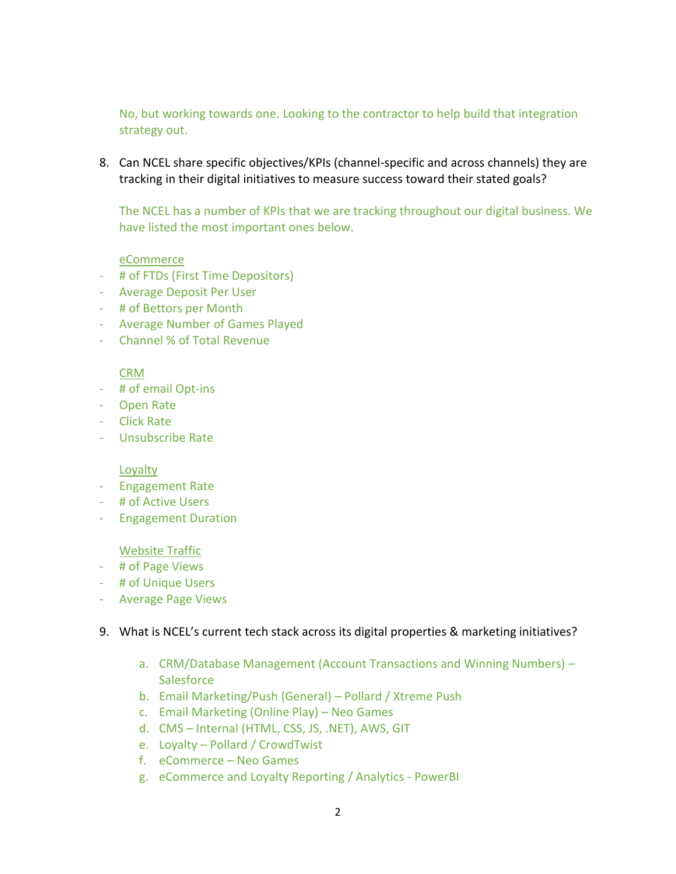No, but working towards one. Looking to the contractor to help build that integration strategy out.

8. Can NCEL share specific objectives/KPIs (channel-specific and across channels) they are tracking in their digital initiatives to measure success toward their stated goals?

The NCEL has a number of KPIs that we are tracking throughout our digital business. We have listed the most important ones below.

#### eCommerce

- # of FTDs (First Time Depositors)
- Average Deposit Per User
- # of Bettors per Month
- Average Number of Games Played
- Channel % of Total Revenue

### CRM

- # of email Opt-ins
- Open Rate
- Click Rate
- Unsubscribe Rate

#### Loyalty

- Engagement Rate
- # of Active Users
- Engagement Duration

#### Website Traffic

- # of Page Views
- # of Unique Users
- Average Page Views

### 9. What is NCEL's current tech stack across its digital properties & marketing initiatives?

- a. CRM/Database Management (Account Transactions and Winning Numbers) **Salesforce**
- b. Email Marketing/Push (General) Pollard / Xtreme Push
- c. Email Marketing (Online Play) Neo Games
- d. CMS Internal (HTML, CSS, JS, .NET), AWS, GIT
- e. Loyalty Pollard / CrowdTwist
- f. eCommerce Neo Games
- g. eCommerce and Loyalty Reporting / Analytics PowerBI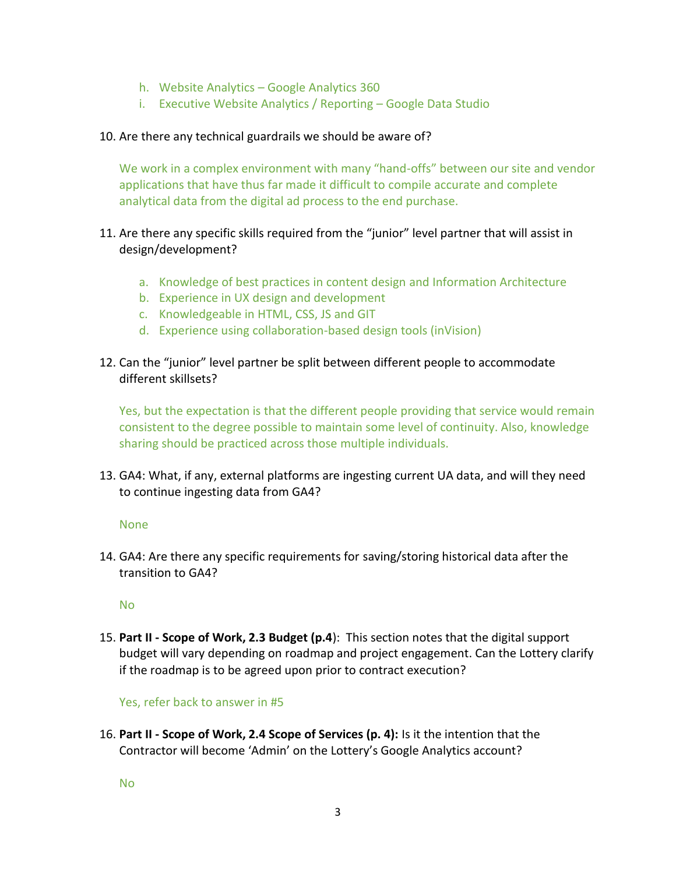- h. Website Analytics Google Analytics 360
- i. Executive Website Analytics / Reporting Google Data Studio

## 10. Are there any technical guardrails we should be aware of?

We work in a complex environment with many "hand-offs" between our site and vendor applications that have thus far made it difficult to compile accurate and complete analytical data from the digital ad process to the end purchase.

## 11. Are there any specific skills required from the "junior" level partner that will assist in design/development?

- a. Knowledge of best practices in content design and Information Architecture
- b. Experience in UX design and development
- c. Knowledgeable in HTML, CSS, JS and GIT
- d. Experience using collaboration-based design tools (inVision)
- 12. Can the "junior" level partner be split between different people to accommodate different skillsets?

Yes, but the expectation is that the different people providing that service would remain consistent to the degree possible to maintain some level of continuity. Also, knowledge sharing should be practiced across those multiple individuals.

13. GA4: What, if any, external platforms are ingesting current UA data, and will they need to continue ingesting data from GA4?

### None

14. GA4: Are there any specific requirements for saving/storing historical data after the transition to GA4?

No

15. **Part II - Scope of Work, 2.3 Budget (p.4**): This section notes that the digital support budget will vary depending on roadmap and project engagement. Can the Lottery clarify if the roadmap is to be agreed upon prior to contract execution?

Yes, refer back to answer in #5

16. **Part II - Scope of Work, 2.4 Scope of Services (p. 4):** Is it the intention that the Contractor will become 'Admin' on the Lottery's Google Analytics account?

No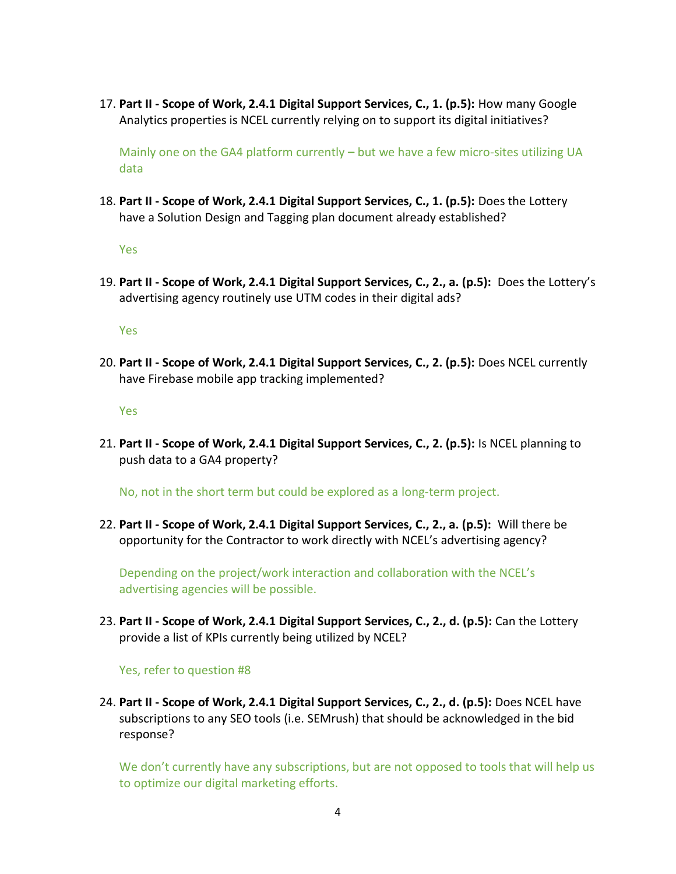17. **Part II - Scope of Work, 2.4.1 Digital Support Services, C., 1. (p.5):** How many Google Analytics properties is NCEL currently relying on to support its digital initiatives?

Mainly one on the GA4 platform currently **–** but we have a few micro-sites utilizing UA data

18. **Part II - Scope of Work, 2.4.1 Digital Support Services, C., 1. (p.5):** Does the Lottery have a Solution Design and Tagging plan document already established?

Yes

19. **Part II - Scope of Work, 2.4.1 Digital Support Services, C., 2., a. (p.5):** Does the Lottery's advertising agency routinely use UTM codes in their digital ads?

Yes

20. **Part II - Scope of Work, 2.4.1 Digital Support Services, C., 2. (p.5):** Does NCEL currently have Firebase mobile app tracking implemented?

Yes

21. **Part II - Scope of Work, 2.4.1 Digital Support Services, C., 2. (p.5):** Is NCEL planning to push data to a GA4 property?

No, not in the short term but could be explored as a long-term project.

22. **Part II - Scope of Work, 2.4.1 Digital Support Services, C., 2., a. (p.5):** Will there be opportunity for the Contractor to work directly with NCEL's advertising agency?

Depending on the project/work interaction and collaboration with the NCEL's advertising agencies will be possible.

23. **Part II - Scope of Work, 2.4.1 Digital Support Services, C., 2., d. (p.5):** Can the Lottery provide a list of KPIs currently being utilized by NCEL?

Yes, refer to question #8

24. **Part II - Scope of Work, 2.4.1 Digital Support Services, C., 2., d. (p.5):** Does NCEL have subscriptions to any SEO tools (i.e. SEMrush) that should be acknowledged in the bid response?

We don't currently have any subscriptions, but are not opposed to tools that will help us to optimize our digital marketing efforts.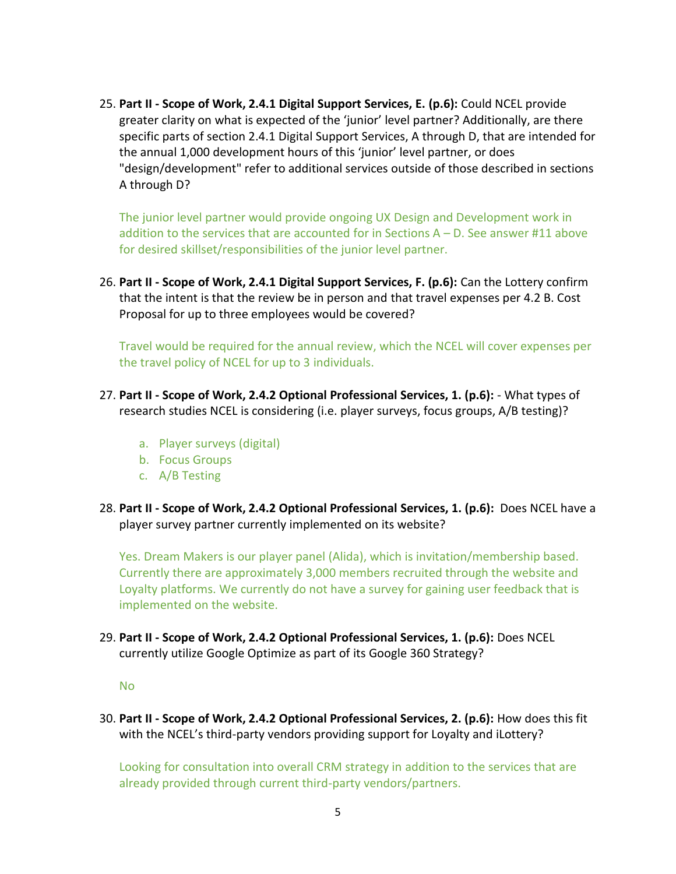25. **Part II - Scope of Work, 2.4.1 Digital Support Services, E. (p.6):** Could NCEL provide greater clarity on what is expected of the 'junior' level partner? Additionally, are there specific parts of section 2.4.1 Digital Support Services, A through D, that are intended for the annual 1,000 development hours of this 'junior' level partner, or does "design/development" refer to additional services outside of those described in sections A through D?

The junior level partner would provide ongoing UX Design and Development work in addition to the services that are accounted for in Sections  $A - D$ . See answer #11 above for desired skillset/responsibilities of the junior level partner.

26. **Part II - Scope of Work, 2.4.1 Digital Support Services, F. (p.6):** Can the Lottery confirm that the intent is that the review be in person and that travel expenses per 4.2 B. Cost Proposal for up to three employees would be covered?

Travel would be required for the annual review, which the NCEL will cover expenses per the travel policy of NCEL for up to 3 individuals.

- 27. **Part II - Scope of Work, 2.4.2 Optional Professional Services, 1. (p.6):** What types of research studies NCEL is considering (i.e. player surveys, focus groups, A/B testing)?
	- a. Player surveys (digital)
	- b. Focus Groups
	- c. A/B Testing
- 28. **Part II - Scope of Work, 2.4.2 Optional Professional Services, 1. (p.6):** Does NCEL have a player survey partner currently implemented on its website?

Yes. Dream Makers is our player panel (Alida), which is invitation/membership based. Currently there are approximately 3,000 members recruited through the website and Loyalty platforms. We currently do not have a survey for gaining user feedback that is implemented on the website.

29. **Part II - Scope of Work, 2.4.2 Optional Professional Services, 1. (p.6):** Does NCEL currently utilize Google Optimize as part of its Google 360 Strategy?

No

30. **Part II - Scope of Work, 2.4.2 Optional Professional Services, 2. (p.6):** How does this fit with the NCEL's third-party vendors providing support for Loyalty and iLottery?

Looking for consultation into overall CRM strategy in addition to the services that are already provided through current third-party vendors/partners.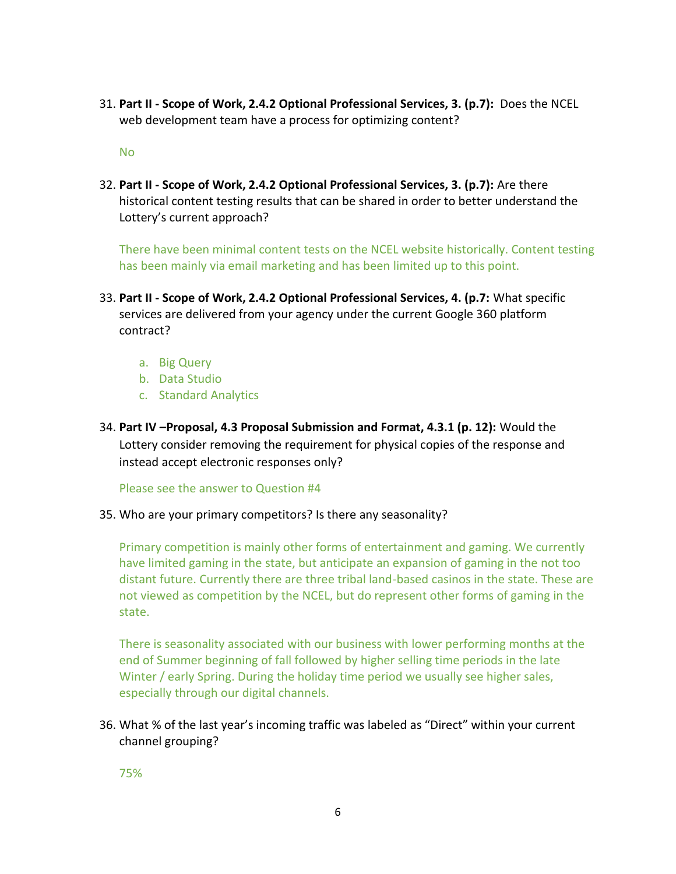31. **Part II - Scope of Work, 2.4.2 Optional Professional Services, 3. (p.7):** Does the NCEL web development team have a process for optimizing content?

No

32. **Part II - Scope of Work, 2.4.2 Optional Professional Services, 3. (p.7):** Are there historical content testing results that can be shared in order to better understand the Lottery's current approach?

There have been minimal content tests on the NCEL website historically. Content testing has been mainly via email marketing and has been limited up to this point.

- 33. **Part II - Scope of Work, 2.4.2 Optional Professional Services, 4. (p.7:** What specific services are delivered from your agency under the current Google 360 platform contract?
	- a. Big Query
	- b. Data Studio
	- c. Standard Analytics
- 34. **Part IV –Proposal, 4.3 Proposal Submission and Format, 4.3.1 (p. 12):** Would the Lottery consider removing the requirement for physical copies of the response and instead accept electronic responses only?

Please see the answer to Question #4

35. Who are your primary competitors? Is there any seasonality?

Primary competition is mainly other forms of entertainment and gaming. We currently have limited gaming in the state, but anticipate an expansion of gaming in the not too distant future. Currently there are three tribal land-based casinos in the state. These are not viewed as competition by the NCEL, but do represent other forms of gaming in the state.

There is seasonality associated with our business with lower performing months at the end of Summer beginning of fall followed by higher selling time periods in the late Winter / early Spring. During the holiday time period we usually see higher sales, especially through our digital channels.

36. What % of the last year's incoming traffic was labeled as "Direct" within your current channel grouping?

75%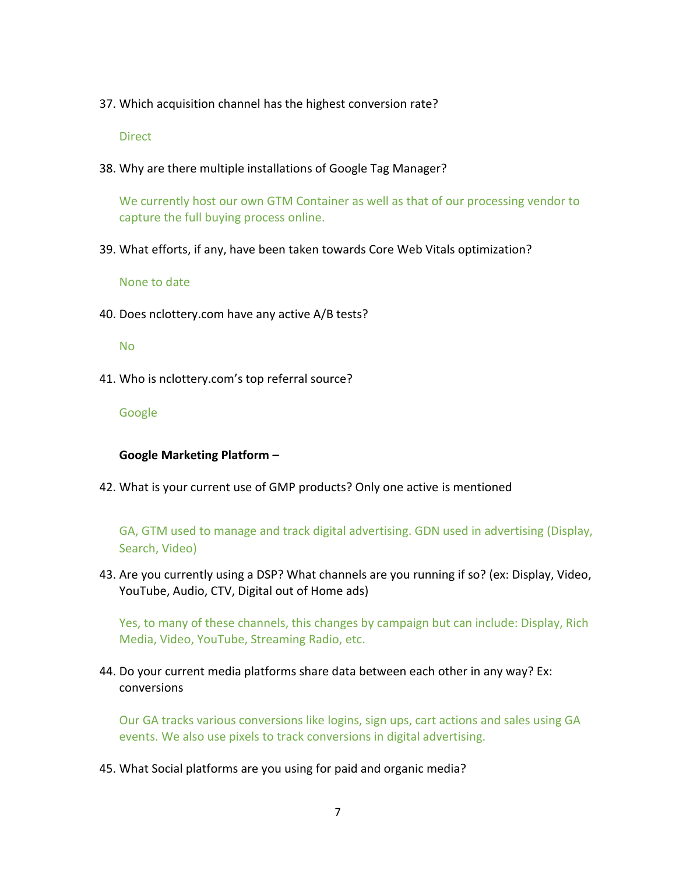37. Which acquisition channel has the highest conversion rate?

### **Direct**

38. Why are there multiple installations of Google Tag Manager?

We currently host our own GTM Container as well as that of our processing vendor to capture the full buying process online.

39. What efforts, if any, have been taken towards Core Web Vitals optimization?

### None to date

40. Does nclottery.com have any active A/B tests?

### No

41. Who is nclottery.com's top referral source?

## Google

## **Google Marketing Platform –**

42. What is your current use of GMP products? Only one active is mentioned

GA, GTM used to manage and track digital advertising. GDN used in advertising (Display, Search, Video)

43. Are you currently using a DSP? What channels are you running if so? (ex: Display, Video, YouTube, Audio, CTV, Digital out of Home ads)

Yes, to many of these channels, this changes by campaign but can include: Display, Rich Media, Video, YouTube, Streaming Radio, etc.

44. Do your current media platforms share data between each other in any way? Ex: conversions

Our GA tracks various conversions like logins, sign ups, cart actions and sales using GA events. We also use pixels to track conversions in digital advertising.

45. What Social platforms are you using for paid and organic media?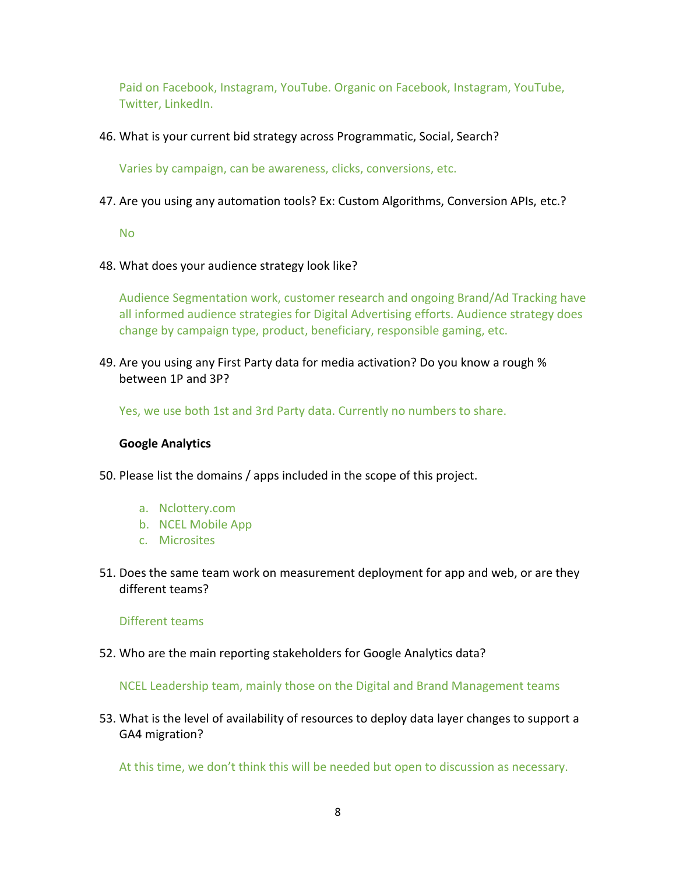Paid on Facebook, Instagram, YouTube. Organic on Facebook, Instagram, YouTube, Twitter, LinkedIn.

### 46. What is your current bid strategy across Programmatic, Social, Search?

Varies by campaign, can be awareness, clicks, conversions, etc.

47. Are you using any automation tools? Ex: Custom Algorithms, Conversion APIs, etc.?

No

48. What does your audience strategy look like?

Audience Segmentation work, customer research and ongoing Brand/Ad Tracking have all informed audience strategies for Digital Advertising efforts. Audience strategy does change by campaign type, product, beneficiary, responsible gaming, etc.

49. Are you using any First Party data for media activation? Do you know a rough % between 1P and 3P?

Yes, we use both 1st and 3rd Party data. Currently no numbers to share.

## **Google Analytics**

- 50. Please list the domains / apps included in the scope of this project.
	- a. Nclottery.com
	- b. NCEL Mobile App
	- c. Microsites
- 51. Does the same team work on measurement deployment for app and web, or are they different teams?

### Different teams

52. Who are the main reporting stakeholders for Google Analytics data?

NCEL Leadership team, mainly those on the Digital and Brand Management teams

53. What is the level of availability of resources to deploy data layer changes to support a GA4 migration?

At this time, we don't think this will be needed but open to discussion as necessary.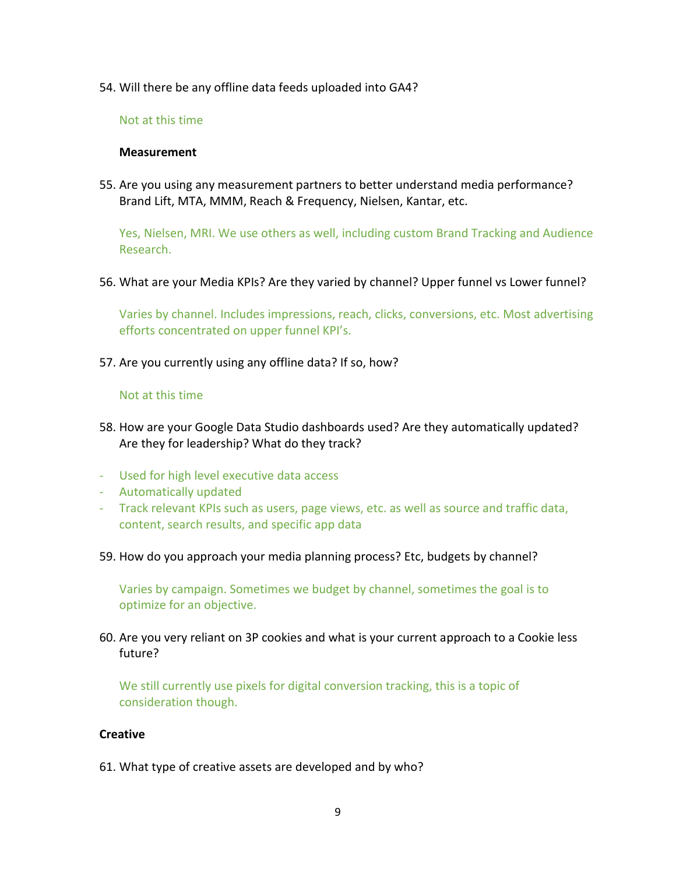54. Will there be any offline data feeds uploaded into GA4?

#### Not at this time

#### **Measurement**

55. Are you using any measurement partners to better understand media performance? Brand Lift, MTA, MMM, Reach & Frequency, Nielsen, Kantar, etc.

Yes, Nielsen, MRI. We use others as well, including custom Brand Tracking and Audience Research.

56. What are your Media KPIs? Are they varied by channel? Upper funnel vs Lower funnel?

Varies by channel. Includes impressions, reach, clicks, conversions, etc. Most advertising efforts concentrated on upper funnel KPI's.

57. Are you currently using any offline data? If so, how?

### Not at this time

- 58. How are your Google Data Studio dashboards used? Are they automatically updated? Are they for leadership? What do they track?
- Used for high level executive data access
- Automatically updated
- Track relevant KPIs such as users, page views, etc. as well as source and traffic data, content, search results, and specific app data
- 59. How do you approach your media planning process? Etc, budgets by channel?

Varies by campaign. Sometimes we budget by channel, sometimes the goal is to optimize for an objective.

60. Are you very reliant on 3P cookies and what is your current approach to a Cookie less future?

We still currently use pixels for digital conversion tracking, this is a topic of consideration though.

#### **Creative**

61. What type of creative assets are developed and by who?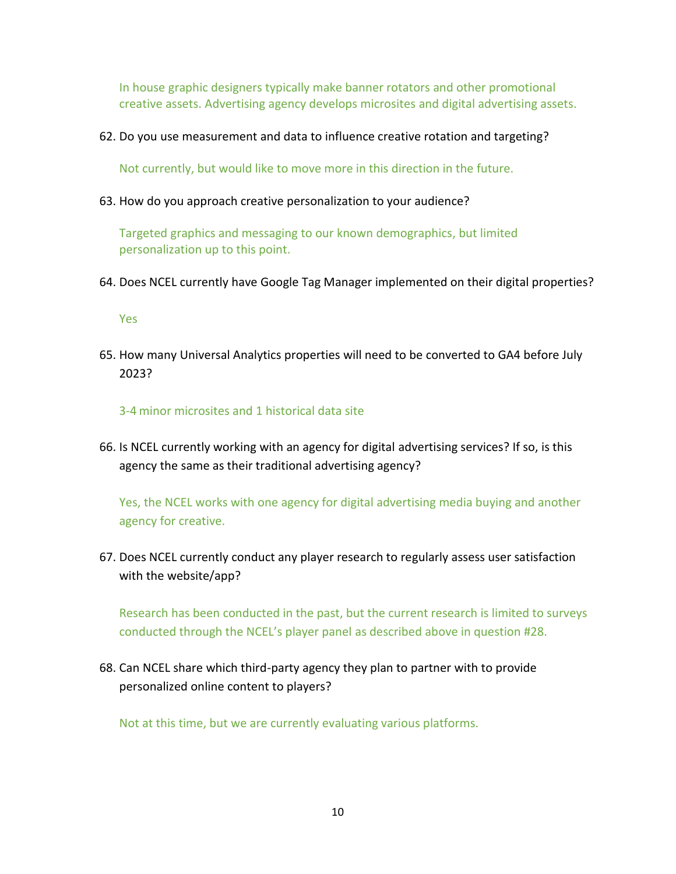In house graphic designers typically make banner rotators and other promotional creative assets. Advertising agency develops microsites and digital advertising assets.

62. Do you use measurement and data to influence creative rotation and targeting?

Not currently, but would like to move more in this direction in the future.

63. How do you approach creative personalization to your audience?

Targeted graphics and messaging to our known demographics, but limited personalization up to this point.

64. Does NCEL currently have Google Tag Manager implemented on their digital properties?

Yes

65. How many Universal Analytics properties will need to be converted to GA4 before July 2023?

3-4 minor microsites and 1 historical data site

66. Is NCEL currently working with an agency for digital advertising services? If so, is this agency the same as their traditional advertising agency?

Yes, the NCEL works with one agency for digital advertising media buying and another agency for creative.

67. Does NCEL currently conduct any player research to regularly assess user satisfaction with the website/app?

Research has been conducted in the past, but the current research is limited to surveys conducted through the NCEL's player panel as described above in question #28.

68. Can NCEL share which third-party agency they plan to partner with to provide personalized online content to players?

Not at this time, but we are currently evaluating various platforms.